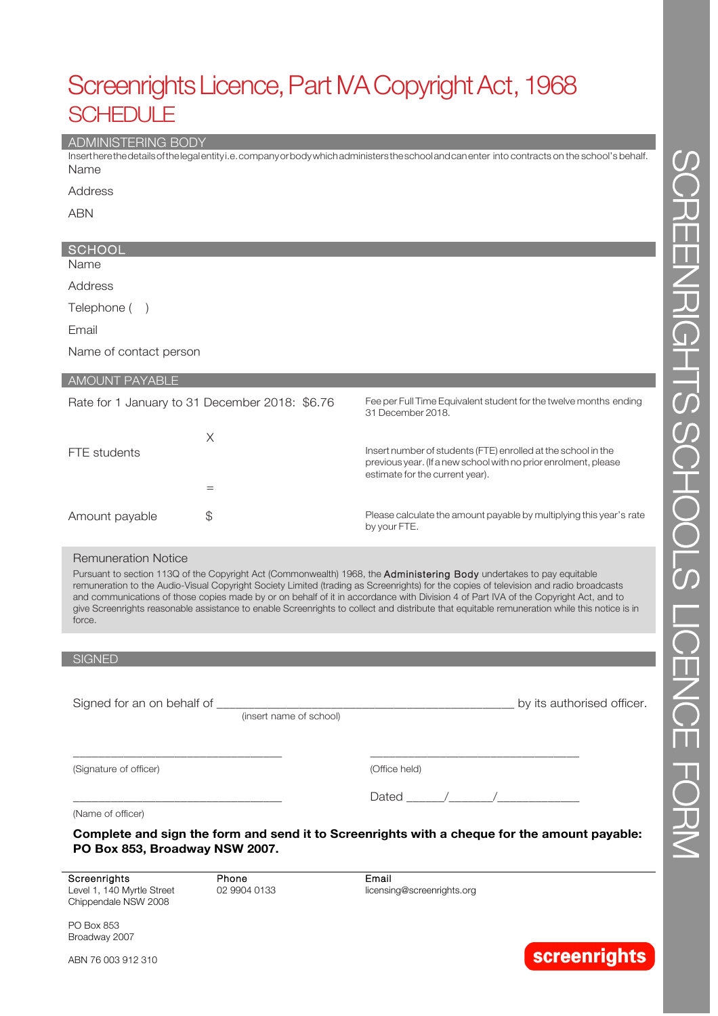# Screenrights Licence, Part MA Copyright Act, 1968 SCHEDULE

#### ADMINISTERING BODY

Insertherethedetailsofthelegalentityi.e.companyorbodywhichadministerstheschoolandcanenter into contracts on the school's behalf. Name

Address

ABN

## **SCHOOL**

Name

Address

Telephone ( )

Email

Name of contact person

|  | <b>AMOUNT PAYABLE</b> |  |
|--|-----------------------|--|
|  |                       |  |

|                | Rate for 1 January to 31 December 2018: \$6.76 | Fee per Full Time Equivalent student for the twelve months ending<br>31 December 2018.                                                                              |
|----------------|------------------------------------------------|---------------------------------------------------------------------------------------------------------------------------------------------------------------------|
| FTE students   | Х                                              | Insert number of students (FTE) enrolled at the school in the<br>previous year. (If a new school with no prior enrolment, please<br>estimate for the current year). |
|                |                                                |                                                                                                                                                                     |
| Amount payable | S                                              | Please calculate the amount payable by multiplying this year's rate<br>by your FTE.                                                                                 |

#### Remuneration Notice

Pursuant to section 113Q of the Copyright Act (Commonwealth) 1968, the Administering Body undertakes to pay equitable remuneration to the Audio-Visual Copyright Society Limited (trading as Screenrights) for the copies of television and radio broadcasts and communications of those copies made by or on behalf of it in accordance with Division 4 of Part IVA of the Copyright Act, and to give Screenrights reasonable assistance to enable Screenrights to collect and distribute that equitable remuneration while this notice is in force.

#### **SIGNED**

Signed for an on behalf of \_\_\_\_\_\_\_\_\_\_\_\_\_\_\_\_\_\_\_\_\_\_\_\_\_\_\_\_\_\_\_\_\_\_\_\_\_\_\_\_\_\_\_\_\_\_\_ by its authorised officer.

\_\_\_\_\_\_\_\_\_\_\_\_\_\_\_\_\_\_\_\_\_\_\_\_\_\_\_\_\_\_\_\_\_

(insert name of school)

(Signature of officer)

| (Office held) |  |
|---------------|--|
|---------------|--|

\_\_\_\_\_\_\_\_\_\_\_\_\_\_\_\_\_\_\_\_\_\_\_\_\_\_\_\_\_\_\_\_\_

| __ |  |  |
|----|--|--|
|    |  |  |

\_\_\_\_\_\_\_\_\_\_\_\_\_\_\_\_\_\_\_\_\_\_\_\_\_\_\_\_\_\_\_\_\_

(Name of officer)

**Complete and sign the form and send it to Screenrights with a cheque for the amount payable: PO Box 853, Broadway NSW 2007.**

**Screenrights** Level 1, 140 Myrtle Street Chippendale NSW 2008

Phone 02 9904 0133 Email licensing@screenrights.org

PO Box 853 Broadway 2007

ABN 76 003 912 310